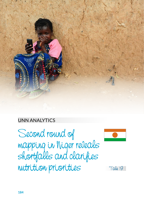

### UNN ANALYTICS

Second round of mapping in Niger reveals shortfalls and clarifies nutrition priorities



Tale 19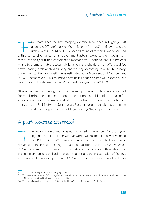### SERIES <sup>2</sup> UN Network Tales be told

Five years since the first mapping exercise took place in Niger (2014)<br>under the Office of the High Commissioner for the 3N Initiative<sup>82</sup> and the<br>umbrella of UNN-REACH,<sup>83</sup> a second round of mapping was conducted<br>with a under the Office of the High Commissioner for the 3N Initiative<sup>82</sup> and the umbrella of UNN-REACH,<sup>83</sup> a second round of mapping was conducted with a series of enhancements. Government actors looked to the mapping as a means to fortify nutrition coordination mechanisms — national and sub-national — and to promote mutual accountability among stakeholders in an effort to drive down soaring levels of child stunting and wasting. According to a SMART survey, under five stunting and wasting was estimated at 47.8 percent and 17.1 percent in 2018, respectively. This sounded alarm bells as such figures well exceed public health thresholds, defined by the World Health Organization (WHO).

"It was unanimously recognized that the mapping is not only a reference tool for monitoring the implementation of the national nutrition plan, but also for advocacy and decision-making at all levels," observed Sarah Cruz, a former analyst at the UN Network Secretariat. Furthermore, it enabled actors from different stakeholder groups to identify gaps along Niger's journey to scale up.

### A participative approach

the second wave of mapping was launched in December 2018, using an upgraded version of the UN Network (UNN) tool, initially developed for UNN-REACH. With government in the lead, the UNN Secretariat provided training and coaching to National Nutrition Cell84 (*Cellule Nationale de Nutrition*) and other members of the national mapping team throughout the process from tool customization to data analysis and the presentation of findings at a stakeholder workshop in June 2019, where the results were validated. This

<sup>82</sup> This stands for Nigeriens Nourishing Nigeriens.

<sup>83</sup> This refers to Renewed Efforts Against Children Hunger and undernutrition initiative, which is part of the UNN's multi-sectoral technical assistance facility.

<sup>84</sup> This body is positioned under the Office of the High Commissioner for the 3N Initiative.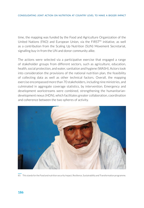time, the mapping was funded by the Food and Agriculture Organization of the United Nations (FAO) and European Union, via the FIRST<sup>85</sup> initiative, as well as a contribution from the Scaling Up Nutrition (SUN) Movement Secretariat, signalling buy-in from the UN and donor community alike.

The actions were selected via a participative exercise that engaged a range of stakeholder groups from different sectors, such as agriculture, education, health, social protection, and water, sanitation and hygiene (WASH). Actors took into consideration the provisions of the national nutrition plan, the feasibility of collecting data as well as other technical factors. Overall, the mapping exercise encompassed more than 70 stakeholders, including nine ministries, and culminated in aggregate coverage statistics, by intervention. Emergency and development workstreams were combined, strengthening the humanitariandevelopment nexus (HDN), which facilitates greater collaboration, coordination and coherence between the two spheres of activity.



85 This stands for the Food and nutrition security Impact, Resilience, Sustainability and Transformation programme.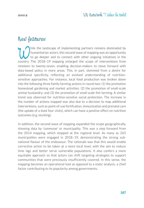## New features

Thile the landscape of implementing partners remains dominated by<br>to go deeper and to connect with other ongoing initiatives in the<br>country. The 2018-19 manning enlarged the scope of interventions from humanitarian actors, this second wave of mapping was an opportunity to go deeper and to connect with other ongoing initiatives in the country. The 2018–19 mapping enlarged the scope of interventions from nineteen to twenty-seven, enabling decision-makers to move forward with data-based policy in more areas. This, in part, stemmed from a desire for additional specificity, reflecting an evolved understanding of nutritionsensitive approaches. For instance, local food production was broken down into the following three family farming actions in round two: (1) the promotion homestead gardening and market activities; (2) the promotion of small-scale animal husbandry; and (3) the promotion of small-scale fish farming. A similar trend was observed for nutrition-sensitve social protection. The increase in the number of actions mapped was also due to a decision to map additional interventions, such as point-of-use fortifcation, immunization and prenatal care (the uptake of a least four visits), which can have a positive effect on nutrition outcomes (e.g. stunting).

In addition, the second wave of mapping expanded the scope geographically, showing data by 'commune' or municipality. This was a step forward from the 2014 mapping, which stopped at the regional level. As many as 265 municipalites were engaged in 2018–19, demonstrating the strong subnational flavour of the endeavour. The rationale was that this would enable corrective action to be taken at a more local level, with the aim to reduce time lags and better serve vulnerable populations. It also confers a more equitable approach so that actors can shift targeting strategies to support communities that were previously insufficiently covered. In this sense, the mapping becomes an operational tool as opposed to a static analysis, a chief factor contributing to its popularity among governments.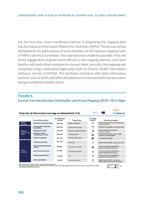For the first time, actors manifested interest in integrating the mapping data into the National Information Platform for Nutrition (NIPN). The process will be facilitated by the participation of some members of the national mapping team in NIPN's technical committee. Two main dynamics made this possible. First, the direct engagement of government officials in the mapping exercise, who were familiar with both efforts and keen to connect them. Secondly, the mapping was completed using a web-based application built on District Health Information Software, version 2 (DHIS2). This facilitates interfaces with other information systems, such as NIPN, and offers the potential to maximize technical assistance being provided by multiple actors.

#### **FIGURE 8.**

#### Excerpt from the Nutrition Stakeholder and Action Mapping (2018–19) in Niger

|                                                                                                         |                          |                             |                                                           |                                                                              | ScalingUp                                                                                                                                                 |
|---------------------------------------------------------------------------------------------------------|--------------------------|-----------------------------|-----------------------------------------------------------|------------------------------------------------------------------------------|-----------------------------------------------------------------------------------------------------------------------------------------------------------|
|                                                                                                         |                          |                             |                                                           |                                                                              | <b>UN Network</b>                                                                                                                                         |
| <b>Core nutrition actions</b>                                                                           | # of communes<br>covered | <b>Target Group</b>         | % of target<br>covered                                    | <b>Delivery mechanisms</b>                                                   |                                                                                                                                                           |
| Promotion of family planning                                                                            | 265/265                  | Women 15-49 years           |                                                           | Health facilities, NGOs, mass campaigns,<br>community relays                 |                                                                                                                                                           |
| Child growth monitoring<br>& promotion                                                                  | 265/265                  | Children 0-59 months        | O,                                                        |                                                                              | Health facilities, NGOs, community relays                                                                                                                 |
| <b>Management of ARI</b>                                                                                | 265/265                  | Children 0-59 months w/ ARI | O.                                                        | Routine health services, NGOs.<br>community relays                           |                                                                                                                                                           |
| infant & child<br><b>Uptake of at least</b><br>health<br>4 antenatal care visits<br>Penta 3 vaccination | 265/265                  | Pregnant women              | a                                                         | Health facilities, NGOs, routine health<br>services, community relays        |                                                                                                                                                           |
|                                                                                                         | 265/265                  | Children 0-59 months        |                                                           | Health facilities, NGOs                                                      |                                                                                                                                                           |
| lodized salt consumtion                                                                                 | 265/265                  | Households                  | Э                                                         | Health facilities, NGOs, community relays                                    |                                                                                                                                                           |
| Market gardening & homestead<br>gardens                                                                 | 199/265                  | Vulnerable households       | ℴ                                                         | Community-based organizations,<br>government technical services              |                                                                                                                                                           |
| Small-scale animal rearing                                                                              | 56/265                   | Vulnerable households       | ۹                                                         |                                                                              |                                                                                                                                                           |
| <b>Fish farming (pisciculture)</b>                                                                      | 10/265                   | Men                         | ÷,                                                        | Community-based organizations,<br>government technical services              |                                                                                                                                                           |
| Point-of-use fortifcation                                                                               | 33/265                   | Children 6-23 months        | э                                                         | Health facilities, NGOs, community-<br>based organizations, community relays |                                                                                                                                                           |
|                                                                                                         |                          |                             | Overview of intervention coverage at national level (1/2) |                                                                              | Food and Agriculture<br>Organization of the<br>Abdullations<br>$\langle \cdot \rangle$<br>Community-based organizations,<br>government technical services |

ARI = Acute respiratory infection / NGO = Non-governmental organization<br>NB: Population coverage data was mainly collected from NGOs with the exception of that for health-based actions, which was provided by the Directorate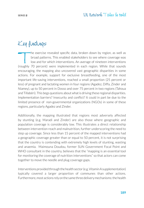# Key findings

The exercise revealed specific data, broken down by region, as well as<br>broad patterns. This enabled stakeholders to see where coverage was<br>low and for which interventions. An average of nineteen interventions<br>roughly 70 pe broad patterns. This enabled stakeholders to see where coverage was low and for which interventions. An average of nineteen interventions (roughly 70 percent) were implemented in each region. While that sounds encouraging, the mapping also uncovered vast geographic disparities in some actions. For example, support for exclusive breastfeeding, one of the most important life-saving interventions, reached a small proportion (25 percent or less) of pregnant and lactating women in four regions (Agadez, Diffa, Zinder and Niamey), up to 50 percent in Dosso and over 75 percent in two regions (Tahoua and Tillabéri). This begs questions about what is driving these regional disparities. Implementation barriers? Insecurity and conflict? It could in part be due to the limited presence of non-governmental organizations (NGOs) in some of these regions, particularly Agadez and Zinder.

Additionally, the mapping illustrated that regions most adversely affected by stunting (e.g. Maradi and Zinder) are also those where geographic and population coverage is considerably low. This illustrates a direct relationship between intervention reach and malnutrition, further underscoring the need to step up coverage. Since less than 15 percent of the mapped interventions had a geographic coverage greater than or equal to 50 percent, it is not surprising that the country is contending with extremely high levels of stunting, wasting and anaemia. Maimouna Doudou, former SUN Government Focal Point and WHO consultant in the country, believes that the "mapping is an essential tool for monitoring the coverage of nutrition interventions" so that actors can come together to move the needle and plug coverage gaps.

Interventions provided through the health sector (e.g. Vitamin A supplementation) typically covered a larger proportion of communes than other actions. Furthermore, most actions rely on the same three delivery mechanisms: the health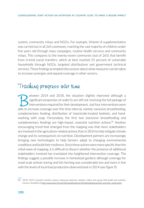system, community relays and NGOs. For example, Vitamin A supplementation was carried out in all 265 *communes,* reaching the vast majority of children under five years old through mass campaigns, routine health services and community relays. This compares to the twenty-seven communes (out of 265) that benefit from in-kind social transfers, which at best reached 25 percent of vulnerable households through NGOs, targeted distributions and government technical services. These findings prompted discussions about what measures can be taken to increase synergies and expand coverage in other sectors.

# Tracking progress over time

European 2014 and 2018, the situation slightly improved although a significant proportion of under 5s are still not receiving the full package of interventions required for their development. Just four interventions were t significant proportion of under5s are still not receiving the full package of interventions required for their development. Just four interventions were able to increase coverage over this time interval, namely: exclusive breastfeeding; complementary feeding; distribution of insecticide-treated bednets; and handwashing with soap. Fortunately, the first two (exclusive breastfeeding and complementary feeding) are high-impact, essential nutrition actions.<sup>86</sup> Another encouraging trend that emerged from the mapping was that more stakeholders are involved in the agriculture-related actions than in 2014 to help mitigate climate change and its consequences on nutrition. Development partners are increasingly bringing new technologies to help farmers adapt to changing environmental conditions and build their resilience. Since these actions were more specific than the initial wave of mapping, it is difficult to discern whether the presence of additional stakeholders involved has translated into heightened intervention coverage. The findings suggest a possible increase in homestead gardens although coverage for small-scale animal rearing and fish farming was considerably low and more in line with the levels of local food production observed back in 2014 (*see Figure 9*).

<sup>86</sup> WHO. 2013. *Essential nutrition actions: Improving maternal, newborn, infant and young child health and nutrition.* Geneva. Available at http://www.who.int/nutrition/publications/infantfeeding/essential\_nutrition\_actions/en/.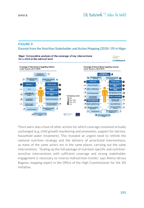#### **FIGURE 9.**

Excerpt from the Nutrition Stakeholder and Action Mapping (2018–19) in Niger



There were also a host of other actions for which coverage remained virtually unchanged (e.g. child growth monitoring and promotion, support for latrines, household water treatment). This revealed an urgent need to rethink the national nutrition strategy and the delivery of prioritized interventions, as many of the same actors are in the same places, carrying out the same interventions. "Scaling up the full package of nutrition-specific and nutritionsensitive interventions with sufficient coverage and strong stakeholder engagement is necessary to reverse malnutrition trends," says Amina Idrissa Bagnou, mapping expert in the Office of the High Commissioner for the 3N Initiative.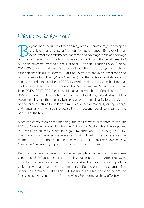# What's on the horizon?

Experiment and the direct utility of ascertaining intervention coverage, the mapping<br>is a lever for strengthening nutrition governance. "By providing an<br>overview of the stakeholder landscape and coverage levels of a packag is a lever for strengthening nutrition governance. "By providing an overview of the stakeholder landscape and coverage levels of a package of priority interventions, the tool has been used to inform the development of nutrition advocacy materials, the National Nutrition Security Policy (PNSN) 2017–2025 and its budgeted Action Plan. In addition, the tool, together with the situation analysis (Multi-sectoral Nutrition Overview), the overview of food and nutrition security policies (Policy Overview) and the profile of stakeholders, all conducted under the auspices of REACH, were the main advocacy mechanisms that made it possible to include nutrition in Niger's Economic and Social Development Plan (PDES) 2017–2021," explains Mahamadou Aboubacar, Coordinator of the 3N's Nutrition Cell. This sentiment was shared by others, with all stakeholders recommending that the mapping be repeated on an annual basis. To date, Niger is one of three countries to undertake multiple rounds of mapping, joining Senegal and Tanzania. Mali will soon follow suit with a second round, cognizant of the benefits of the tool.

Since the completion of the mapping, the results were presented at the 4th FANUS Conference on Nutrition in Action for Sustainable Development in Africa, which took place in Kigali, Rwanda on 26–29 August 2019. The presentation was so well-received that, following the conference, the members of the national mapping team were contacted by the *Journal of Food Science and Engineering* to publish an article in the next issue.

But, how can we be sure malnourished people in Niger gain from these experiences? What safeguards are being put in place to disrupt the *status quo*? Interest was expressed by various stakeholders to create profiles which provide an overview of the main nutrition actors in the country. The underlying premise is that this will facilitate linkages between actors for increased convergence of nutrition services. Furthermore, these efforts will be